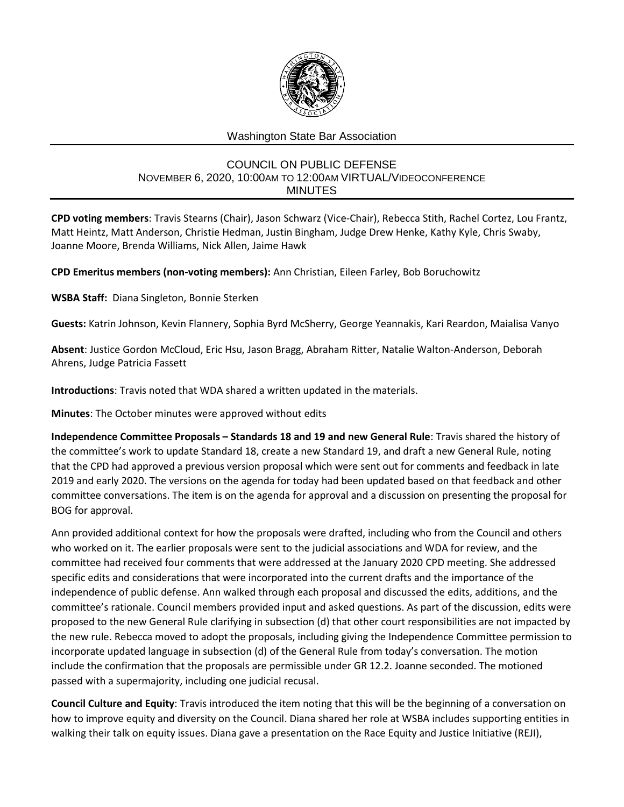

## Washington State Bar Association

## COUNCIL ON PUBLIC DEFENSE NOVEMBER 6, 2020, 10:00AM TO 12:00AM VIRTUAL/VIDEOCONFERENCE MINUTES

**CPD voting members**: Travis Stearns (Chair), Jason Schwarz (Vice-Chair), Rebecca Stith, Rachel Cortez, Lou Frantz, Matt Heintz, Matt Anderson, Christie Hedman, Justin Bingham, Judge Drew Henke, Kathy Kyle, Chris Swaby, Joanne Moore, Brenda Williams, Nick Allen, Jaime Hawk

**CPD Emeritus members (non-voting members):** Ann Christian, Eileen Farley, Bob Boruchowitz

**WSBA Staff:** Diana Singleton, Bonnie Sterken

**Guests:** Katrin Johnson, Kevin Flannery, Sophia Byrd McSherry, George Yeannakis, Kari Reardon, Maialisa Vanyo

**Absent**: Justice Gordon McCloud, Eric Hsu, Jason Bragg, Abraham Ritter, Natalie Walton-Anderson, Deborah Ahrens, Judge Patricia Fassett

**Introductions**: Travis noted that WDA shared a written updated in the materials.

**Minutes**: The October minutes were approved without edits

**Independence Committee Proposals – Standards 18 and 19 and new General Rule**: Travis shared the history of the committee's work to update Standard 18, create a new Standard 19, and draft a new General Rule, noting that the CPD had approved a previous version proposal which were sent out for comments and feedback in late 2019 and early 2020. The versions on the agenda for today had been updated based on that feedback and other committee conversations. The item is on the agenda for approval and a discussion on presenting the proposal for BOG for approval.

Ann provided additional context for how the proposals were drafted, including who from the Council and others who worked on it. The earlier proposals were sent to the judicial associations and WDA for review, and the committee had received four comments that were addressed at the January 2020 CPD meeting. She addressed specific edits and considerations that were incorporated into the current drafts and the importance of the independence of public defense. Ann walked through each proposal and discussed the edits, additions, and the committee's rationale. Council members provided input and asked questions. As part of the discussion, edits were proposed to the new General Rule clarifying in subsection (d) that other court responsibilities are not impacted by the new rule. Rebecca moved to adopt the proposals, including giving the Independence Committee permission to incorporate updated language in subsection (d) of the General Rule from today's conversation. The motion include the confirmation that the proposals are permissible under GR 12.2. Joanne seconded. The motioned passed with a supermajority, including one judicial recusal.

**Council Culture and Equity**: Travis introduced the item noting that this will be the beginning of a conversation on how to improve equity and diversity on the Council. Diana shared her role at WSBA includes supporting entities in walking their talk on equity issues. Diana gave a presentation on the Race Equity and Justice Initiative (REJI),